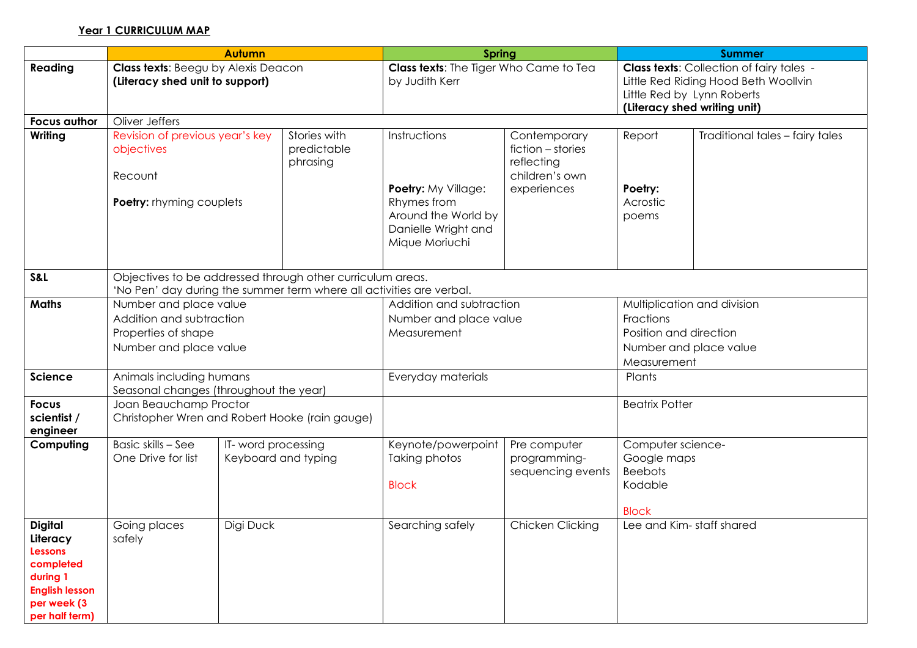## **Year 1 CURRICULUM MAP**

|                                                                                                                                 | <b>Autumn</b>                                                                                                                      |                                            |                                         | <b>Spring</b>                                                                                                      |                                                                                  | <b>Summer</b>                                                                                                                                         |                                 |  |  |
|---------------------------------------------------------------------------------------------------------------------------------|------------------------------------------------------------------------------------------------------------------------------------|--------------------------------------------|-----------------------------------------|--------------------------------------------------------------------------------------------------------------------|----------------------------------------------------------------------------------|-------------------------------------------------------------------------------------------------------------------------------------------------------|---------------------------------|--|--|
| Reading                                                                                                                         | Class texts: Beegu by Alexis Deacon<br>(Literacy shed unit to support)                                                             |                                            |                                         | Class texts: The Tiger Who Came to Tea<br>by Judith Kerr                                                           |                                                                                  | <b>Class texts:</b> Collection of fairy tales -<br>Little Red Riding Hood Beth Woollvin<br>Little Red by Lynn Roberts<br>(Literacy shed writing unit) |                                 |  |  |
| <b>Focus author</b>                                                                                                             | Oliver Jeffers                                                                                                                     |                                            |                                         |                                                                                                                    |                                                                                  |                                                                                                                                                       |                                 |  |  |
| Writing                                                                                                                         | Revision of previous year's key<br>objectives<br>Recount<br>Poetry: rhyming couplets                                               |                                            | Stories with<br>predictable<br>phrasing | Instructions<br>Poetry: My Village:<br>Rhymes from<br>Around the World by<br>Danielle Wright and<br>Mique Moriuchi | Contemporary<br>fiction - stories<br>reflecting<br>children's own<br>experiences | Report<br>Poetry:<br>Acrostic<br>poems                                                                                                                | Traditional tales - fairy tales |  |  |
| S&L                                                                                                                             | Objectives to be addressed through other curriculum areas.<br>'No Pen' day during the summer term where all activities are verbal. |                                            |                                         |                                                                                                                    |                                                                                  |                                                                                                                                                       |                                 |  |  |
| <b>Maths</b>                                                                                                                    | Number and place value<br>Addition and subtraction<br>Properties of shape<br>Number and place value                                |                                            |                                         | Addition and subtraction<br>Number and place value<br>Measurement                                                  |                                                                                  | Multiplication and division<br>Fractions<br>Position and direction<br>Number and place value<br>Measurement                                           |                                 |  |  |
| Science                                                                                                                         | Animals including humans<br>Seasonal changes (throughout the year)                                                                 |                                            |                                         | Everyday materials                                                                                                 |                                                                                  | Plants                                                                                                                                                |                                 |  |  |
| <b>Focus</b><br>scientist /<br>engineer                                                                                         | Joan Beauchamp Proctor<br>Christopher Wren and Robert Hooke (rain gauge)                                                           |                                            |                                         |                                                                                                                    |                                                                                  | <b>Beatrix Potter</b>                                                                                                                                 |                                 |  |  |
| Computing                                                                                                                       | Basic skills - See<br>One Drive for list                                                                                           | IT- word processing<br>Keyboard and typing |                                         | Keynote/powerpoint<br>Taking photos<br><b>Block</b>                                                                | Pre computer<br>programming-<br>sequencing events                                | Computer science-<br>Google maps<br><b>Beebots</b><br>Kodable<br><b>Block</b>                                                                         |                                 |  |  |
| <b>Digital</b><br>Literacy<br><b>Lessons</b><br>completed<br>during 1<br><b>English lesson</b><br>per week (3<br>per half term) | Digi Duck<br>Going places<br>safely                                                                                                |                                            | Searching safely                        | Chicken Clicking                                                                                                   | Lee and Kim-staff shared                                                         |                                                                                                                                                       |                                 |  |  |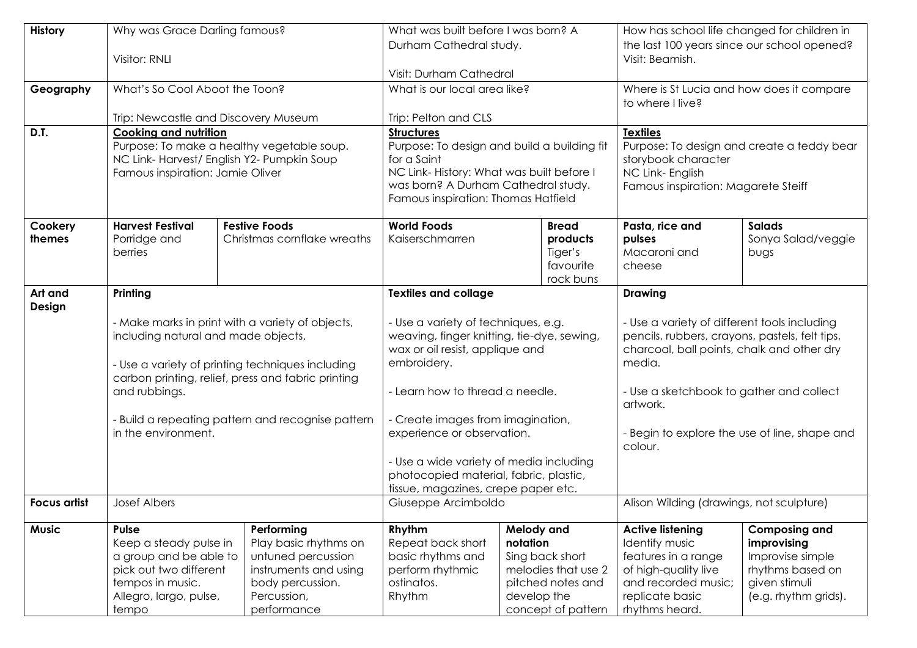| History             | Why was Grace Darling famous?<br>Visitor: RNLI                                                                                             |                                                                                                                                                            | What was built before I was born? A<br>Durham Cathedral study.<br>Visit: Durham Cathedral                                                                  |                                                                                                                            | How has school life changed for children in<br>the last 100 years since our school opened?<br>Visit: Beamish.                                                                                                                    |                                                                                                                      |  |  |
|---------------------|--------------------------------------------------------------------------------------------------------------------------------------------|------------------------------------------------------------------------------------------------------------------------------------------------------------|------------------------------------------------------------------------------------------------------------------------------------------------------------|----------------------------------------------------------------------------------------------------------------------------|----------------------------------------------------------------------------------------------------------------------------------------------------------------------------------------------------------------------------------|----------------------------------------------------------------------------------------------------------------------|--|--|
| Geography           | What's So Cool Aboot the Toon?                                                                                                             |                                                                                                                                                            | What is our local area like?                                                                                                                               |                                                                                                                            | Where is St Lucia and how does it compare<br>to where I live?                                                                                                                                                                    |                                                                                                                      |  |  |
|                     | Trip: Newcastle and Discovery Museum                                                                                                       |                                                                                                                                                            | Trip: Pelton and CLS                                                                                                                                       |                                                                                                                            |                                                                                                                                                                                                                                  |                                                                                                                      |  |  |
| D.T.                | <b>Cooking and nutrition</b><br>NC Link-Harvest/ English Y2- Pumpkin Soup<br>Famous inspiration: Jamie Oliver                              | Purpose: To make a healthy vegetable soup.                                                                                                                 | <b>Structures</b><br>for a Saint<br>NC Link-History: What was built before I<br>was born? A Durham Cathedral study.<br>Famous inspiration: Thomas Hatfield | Purpose: To design and build a building fit                                                                                | <b>Textiles</b><br>Purpose: To design and create a teddy bear<br>storybook character<br>NC Link- English<br>Famous inspiration: Magarete Steiff                                                                                  |                                                                                                                      |  |  |
| Cookery<br>themes   | <b>Harvest Festival</b><br>Porridge and<br>berries                                                                                         | <b>Festive Foods</b><br>Christmas cornflake wreaths                                                                                                        | <b>World Foods</b><br>Kaiserschmarren                                                                                                                      | <b>Bread</b><br>products<br>Tiger's<br>favourite<br>rock buns                                                              | Pasta, rice and<br>pulses<br>Macaroni and<br>cheese                                                                                                                                                                              | <b>Salads</b><br>Sonya Salad/veggie<br>bugs                                                                          |  |  |
| Art and<br>Design   | Printing                                                                                                                                   |                                                                                                                                                            | <b>Textiles and collage</b>                                                                                                                                |                                                                                                                            | <b>Drawing</b><br>- Use a variety of different tools including<br>pencils, rubbers, crayons, pastels, felt tips,<br>charcoal, ball points, chalk and other dry<br>media.<br>- Use a sketchbook to gather and collect<br>artwork. |                                                                                                                      |  |  |
|                     | including natural and made objects.                                                                                                        | - Make marks in print with a variety of objects,<br>- Use a variety of printing techniques including<br>carbon printing, relief, press and fabric printing | - Use a variety of techniques, e.g.<br>weaving, finger knitting, tie-dye, sewing,<br>wax or oil resist, applique and<br>embroidery.                        |                                                                                                                            |                                                                                                                                                                                                                                  |                                                                                                                      |  |  |
|                     | and rubbings.                                                                                                                              |                                                                                                                                                            | - Learn how to thread a needle.                                                                                                                            |                                                                                                                            |                                                                                                                                                                                                                                  |                                                                                                                      |  |  |
|                     | in the environment.                                                                                                                        | - Build a repeating pattern and recognise pattern                                                                                                          | - Create images from imagination,<br>experience or observation.                                                                                            |                                                                                                                            | - Begin to explore the use of line, shape and<br>colour.                                                                                                                                                                         |                                                                                                                      |  |  |
|                     |                                                                                                                                            |                                                                                                                                                            | - Use a wide variety of media including<br>photocopied material, fabric, plastic,<br>tissue, magazines, crepe paper etc.                                   |                                                                                                                            |                                                                                                                                                                                                                                  |                                                                                                                      |  |  |
| <b>Focus artist</b> | <b>Josef Albers</b>                                                                                                                        |                                                                                                                                                            | Giuseppe Arcimboldo                                                                                                                                        |                                                                                                                            | Alison Wilding (drawings, not sculpture)                                                                                                                                                                                         |                                                                                                                      |  |  |
| <b>Music</b>        | Pulse<br>Keep a steady pulse in<br>a group and be able to<br>pick out two different<br>tempos in music.<br>Allegro, largo, pulse,<br>tempo | Performing<br>Play basic rhythms on<br>untuned percussion<br>instruments and using<br>body percussion.<br>Percussion,<br>performance                       | Rhythm<br>Repeat back short<br>basic rhythms and<br>perform rhythmic<br>ostinatos.<br>Rhythm                                                               | Melody and<br>notation<br>Sing back short<br>melodies that use 2<br>pitched notes and<br>develop the<br>concept of pattern | <b>Active listening</b><br><b>Identify music</b><br>features in a range<br>of high-quality live<br>and recorded music;<br>replicate basic<br>rhythms heard.                                                                      | <b>Composing and</b><br>improvising<br>Improvise simple<br>rhythms based on<br>given stimuli<br>(e.g. rhythm grids). |  |  |